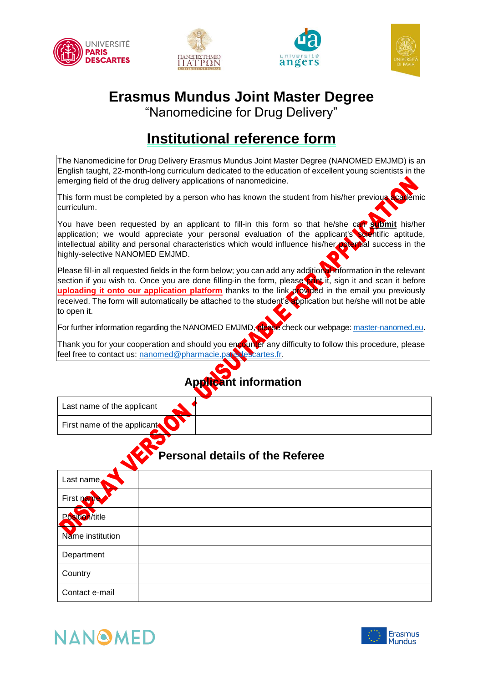







## **Erasmus Mundus Joint Master Degree**

"Nanomedicine for Drug Delivery"

## **Institutional reference form**

The Nanomedicine for Drug Delivery Erasmus Mundus Joint Master Degree (NANOMED EMJMD) is an English taught, 22-month-long curriculum dedicated to the education of excellent young scientists in the emerging field of the drug delivery applications of nanomedicine.

This form must be completed by a person who has known the student from his/her previous academic curriculum.

You have been requested by an applicant to fill-in this form so that he/she can submit his/her application; we would appreciate your personal evaluation of the applicant's scientific aptitude, intellectual ability and personal characteristics which would influence his/her potential success in the highly-selective NANOMED EMJMD.

Please fill-in all requested fields in the form below; you can add any additional information in the relevant section if you wish to. Once you are done filling-in the form, please print it, sign it and scan it before **uploading it onto our application platform** thanks to the link provided in the email you previously received. The form will automatically be attached to the student's application but he/she will not be able to open it.

For further information regarding the NANOMED EMJMD, please check our webpage: [master-nanomed.eu.](www.http://master-nanomed.eu/)

Thank you for your cooperation and should you encounter any difficulty to follow this procedure, please feel free to contact us: [nanomed@pharmacie.parisdescartes.fr.](mailto:nanomed@pharmacie.parisdescartes.fr)

| <b>Applicant information</b> |                                        |  |
|------------------------------|----------------------------------------|--|
| Last name of the applicant   |                                        |  |
| First name of the applicant  |                                        |  |
|                              | <b>Personal details of the Referee</b> |  |
| Last name.                   |                                        |  |
| First pame                   |                                        |  |
| Position/title               |                                        |  |
| Name institution             |                                        |  |
| Department                   |                                        |  |
| Country                      |                                        |  |
| Contact e-mail               |                                        |  |



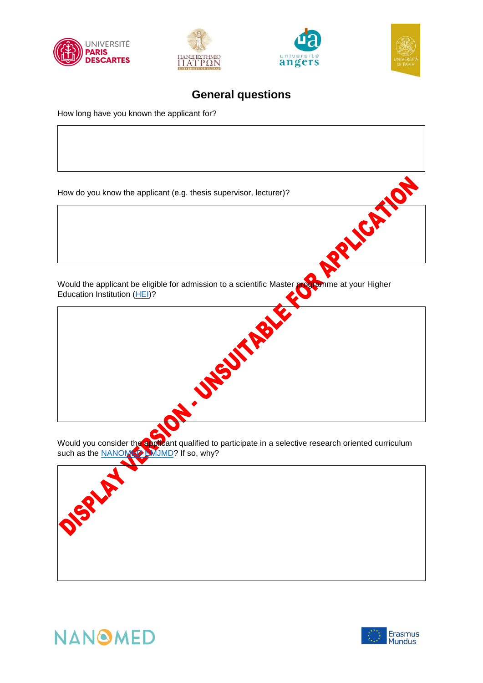







### **General questions**

How long have you known the applicant for?





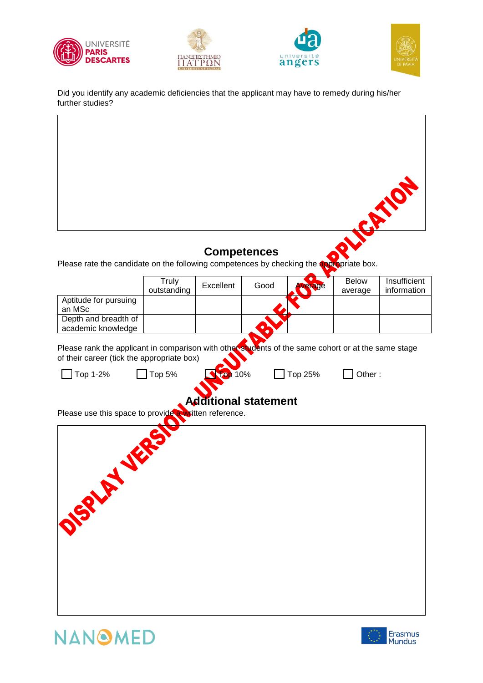







Did you identify any academic deficiencies that the applicant may have to remedy during his/her further studies?

# TER TO **Competences** Please rate the candidate on the following competences by checking the appropriate box. Truly Listending Excellent Good Average Below **Insufficient Truly** information average Aptitude for pursuing an MSc Depth and breadth of academic knowledge Please rank the applicant in comparison with other students of the same cohort or at the same stage of their career (tick the appropriate box)  $\Box$  Top 1-2%  $\Box$  Top 5%  $\Box$  Top 20%  $\Box$  Top 25%  $\Box$  Other :  $\mathbf{I}$ **Additional statement** Please use this space to provide a written reference. O SPACE LIFE